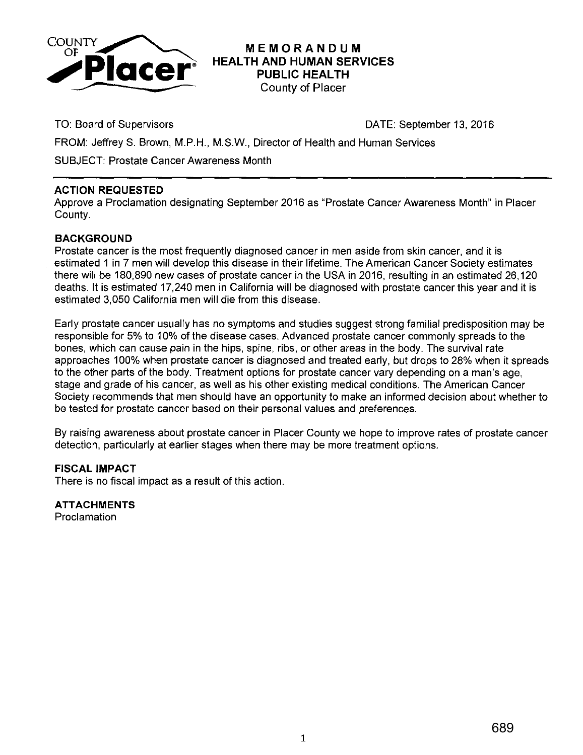

#### **MEMORANDUM HEALTH AND HUMAN SERVICES PUBLIC HEALTH**  County of Placer

TO: Board of Supervisors **DATE: September 13, 2016** 

FROM: JeffreyS. Brown, M.P.H., M.S.W., Director of Health and Human Services

SUBJECT: Prostate Cancer Awareness Month

# **ACTION REQUESTED**

Approve a Proclamation designating September 2016 as "Prostate Cancer Awareness Month" in Placer County.

## **BACKGROUND**

Prostate cancer is the most frequently diagnosed cancer in men aside from skin cancer, and it is estimated 1 in 7 men will develop this disease in their lifetime. The American Cancer Society estimates there will be 180,890 new cases of prostate cancer in the USA in 2016, resulting in an estimated 26,120 deaths. It is estimated 17,240 men in California will be diagnosed with prostate cancer this year and it is estimated 3,050 California men will die from this disease.

Early prostate cancer usually has no symptoms and studies suggest strong familial predisposition may be responsible for 5% to 10% of the disease cases. Advanced prostate cancer commonly spreads to the bones, which can cause pain in the hips, spine, ribs, or other areas in the body. The survival rate approaches 100% when prostate cancer is diagnosed and treated early, but drops to 28% when it spreads to the other parts of the body. Treatment options for prostate cancer vary depending on a man's age, stage and grade of his cancer, as well as his other existing medical conditions. The American Cancer Society recommends that men should have an opportunity to make an informed decision about whether to be tested for prostate cancer based on their personal values and preferences.

By raising awareness about prostate cancer in Placer County we hope to improve rates of prostate cancer detection, particularly at earlier stages when there may be more treatment options.

#### **FISCAL IMPACT**

There is no fiscal impact as a result of this action.

**ATTACHMENTS** 

Proclamation